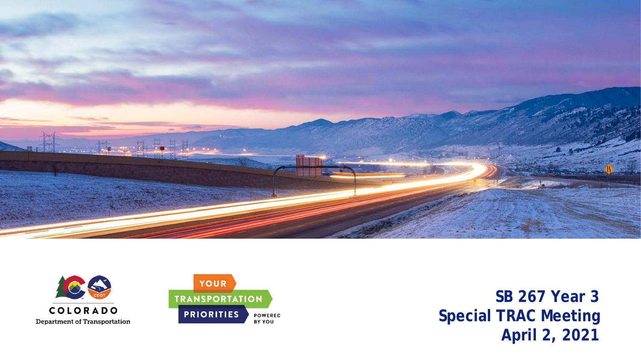

**POWERED** 

BY YOU



**SB 267 Year 3 March 2021 Special TRAC Meeting April 2, 2021**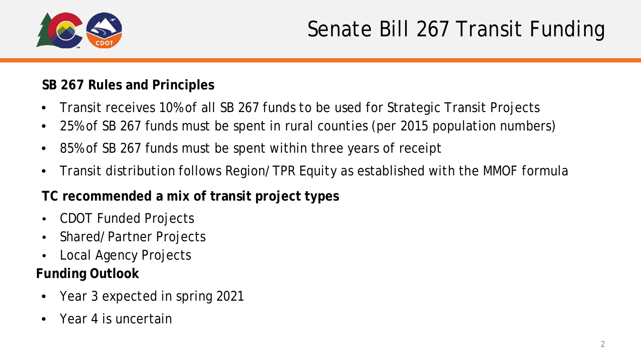

#### **SB 267 Rules and Principles**

- Transit receives 10% of all SB 267 funds to be used for Strategic Transit Projects
- 25% of SB 267 funds must be spent in rural counties (per 2015 population numbers)
- 85% of SB 267 funds must be spent within three years of receipt
- Transit distribution follows Region/TPR Equity as established with the MMOF formula

#### **TC recommended a mix of transit project types**

- CDOT Funded Projects
- Shared/Partner Projects
- Local Agency Projects

#### **Funding Outlook**

- Year 3 expected in spring 2021
- Year 4 is uncertain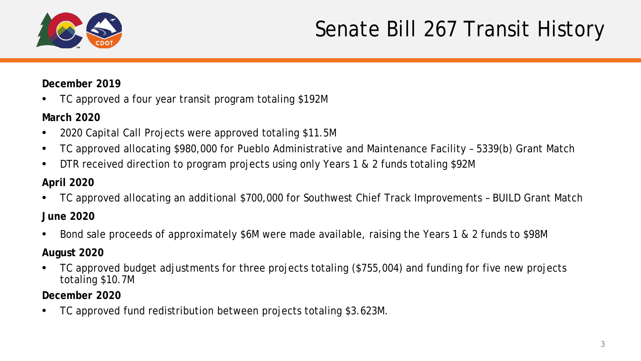

#### Senate Bill 267 Transit History

#### **December 2019**

• TC approved a four year transit program totaling \$192M

#### **March 2020**

- 2020 Capital Call Projects were approved totaling \$11.5M
- TC approved allocating \$980,000 for Pueblo Administrative and Maintenance Facility 5339(b) Grant Match
- DTR received direction to program projects using only Years 1 & 2 funds totaling \$92M

#### **April 2020**

- TC approved allocating an additional \$700,000 for Southwest Chief Track Improvements BUILD Grant Match **June 2020**
- Bond sale proceeds of approximately \$6M were made available, raising the Years 1 & 2 funds to \$98M

#### **August 2020**

• TC approved budget adjustments for three projects totaling (\$755,004) and funding for five new projects totaling \$10.7M

**December 2020**

• TC approved fund redistribution between projects totaling \$3.623M.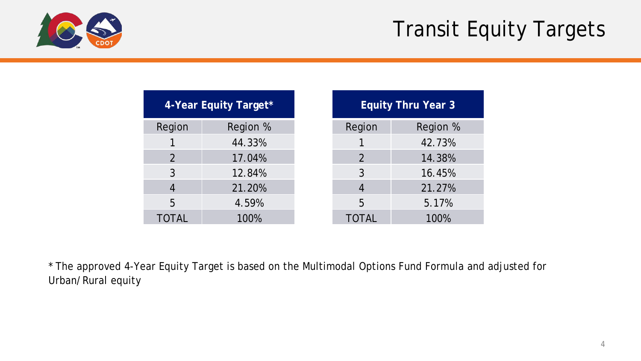#### Transit Equity Targets



| 4-Year Equity Target* |          |  |  |  |  |
|-----------------------|----------|--|--|--|--|
| Region                | Region % |  |  |  |  |
|                       | 44.33%   |  |  |  |  |
| 2                     | 17.04%   |  |  |  |  |
| 3                     | 12.84%   |  |  |  |  |
| 4                     | 21.20%   |  |  |  |  |
| 5                     | 4.59%    |  |  |  |  |
| TOTAL                 | 100%     |  |  |  |  |

| <b>Equity Thru Year 3</b> |          |  |  |  |  |
|---------------------------|----------|--|--|--|--|
| Region                    | Region % |  |  |  |  |
| 1                         | 42.73%   |  |  |  |  |
| 2                         | 14.38%   |  |  |  |  |
| $\mathfrak{Z}$            | 16.45%   |  |  |  |  |
| $\overline{4}$            | 21.27%   |  |  |  |  |
| 5                         | 5.17%    |  |  |  |  |
| <b>TOTAL</b>              | 100%     |  |  |  |  |

\* The approved 4-Year Equity Target is based on the Multimodal Options Fund Formula and adjusted for Urban/Rural equity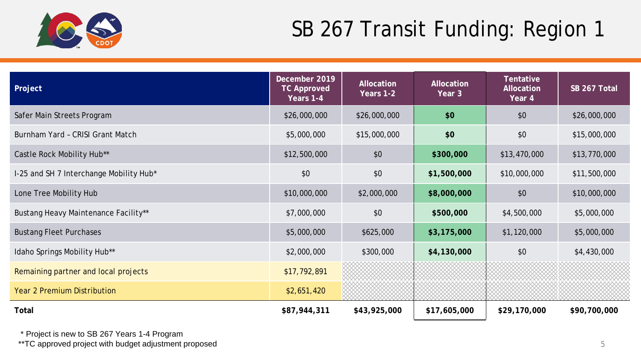

| Project                                 | December 2019<br><b>TC Approved</b><br>Years 1-4 | <b>Allocation</b><br>Allocation<br>Years 1-2<br>Year 3 |              | Tentative<br>Allocation<br>Year 4 | SB 267 Total |
|-----------------------------------------|--------------------------------------------------|--------------------------------------------------------|--------------|-----------------------------------|--------------|
| Safer Main Streets Program              | \$26,000,000                                     | \$26,000,000                                           | \$0          | \$0                               | \$26,000,000 |
| Burnham Yard - CRISI Grant Match        | \$5,000,000                                      | \$15,000,000                                           | \$0          | \$0                               | \$15,000,000 |
| Castle Rock Mobility Hub**              | \$12,500,000                                     | \$0                                                    | \$300,000    | \$13,470,000                      | \$13,770,000 |
| I-25 and SH 7 Interchange Mobility Hub* | \$0                                              | \$0                                                    | \$1,500,000  | \$10,000,000                      | \$11,500,000 |
| Lone Tree Mobility Hub                  | \$10,000,000                                     | \$2,000,000                                            | \$8,000,000  | \$0                               | \$10,000,000 |
| Bustang Heavy Maintenance Facility**    | \$7,000,000                                      | \$0                                                    | \$500,000    | \$4,500,000                       | \$5,000,000  |
| <b>Bustang Fleet Purchases</b>          | \$5,000,000                                      | \$625,000                                              | \$3,175,000  | \$1,120,000                       | \$5,000,000  |
| Idaho Springs Mobility Hub**            | \$2,000,000                                      | \$300,000                                              | \$4,130,000  | \$0                               | \$4,430,000  |
| Remaining partner and local projects    | \$17,792,891                                     |                                                        |              |                                   |              |
| <b>Year 2 Premium Distribution</b>      | \$2,651,420                                      |                                                        |              |                                   |              |
| Total                                   | \$87,944,311                                     | \$43,925,000                                           | \$17,605,000 | \$29,170,000                      | \$90,700,000 |

\* Project is new to SB 267 Years 1-4 Program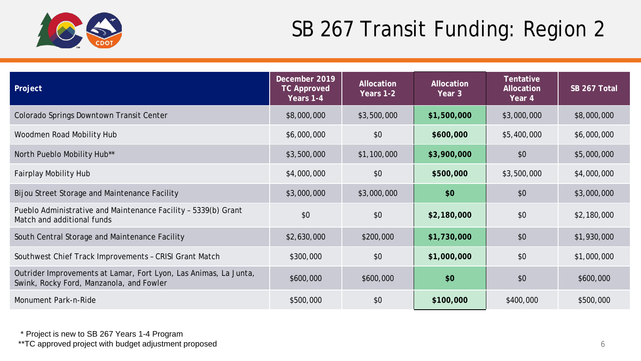

| Project                                                                                                      | December 2019<br><b>TC Approved</b><br>Years 1-4 | Allocation<br>Years 1-2 | Allocation<br>Year 3 | Tentative<br><b>Allocation</b><br>Year 4 | SB 267 Total |
|--------------------------------------------------------------------------------------------------------------|--------------------------------------------------|-------------------------|----------------------|------------------------------------------|--------------|
| Colorado Springs Downtown Transit Center                                                                     | \$8,000,000                                      | \$3,500,000             | \$1,500,000          | \$3,000,000                              | \$8,000,000  |
| Woodmen Road Mobility Hub                                                                                    | \$6,000,000                                      | \$0                     | \$600,000            | \$5,400,000                              | \$6,000,000  |
| North Pueblo Mobility Hub**                                                                                  | \$3,500,000                                      | \$1,100,000             | \$3,900,000          | \$0                                      | \$5,000,000  |
| <b>Fairplay Mobility Hub</b>                                                                                 | \$4,000,000                                      | \$0                     | \$500,000            | \$3,500,000                              | \$4,000,000  |
| Bijou Street Storage and Maintenance Facility                                                                | \$3,000,000                                      | \$3,000,000             | \$0                  | \$0                                      | \$3,000,000  |
| Pueblo Administrative and Maintenance Facility - 5339(b) Grant<br>Match and additional funds                 | \$0                                              | \$0                     | \$2,180,000          | \$0                                      | \$2,180,000  |
| South Central Storage and Maintenance Facility                                                               | \$2,630,000                                      | \$200,000               | \$1,730,000          | \$0                                      | \$1,930,000  |
| Southwest Chief Track Improvements - CRISI Grant Match                                                       | \$300,000                                        | \$0                     | \$1,000,000          | \$0                                      | \$1,000,000  |
| Outrider Improvements at Lamar, Fort Lyon, Las Animas, La Junta,<br>Swink, Rocky Ford, Manzanola, and Fowler | \$600,000                                        | \$600,000               | \$0                  | \$0                                      | \$600,000    |
| Monument Park-n-Ride                                                                                         | \$500,000                                        | \$0                     | \$100,000            | \$400,000                                | \$500,000    |

\* Project is new to SB 267 Years 1-4 Program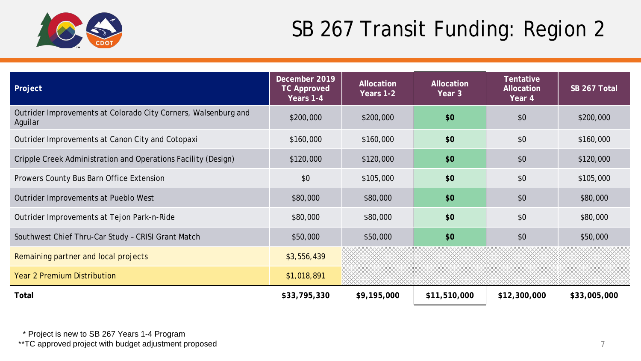

| Project                                                                   | December 2019<br><b>TC Approved</b><br>Years 1-4 | Allocation<br>Years 1-2 | <b>Allocation</b><br>Year 3 | <b>Tentative</b><br><b>Allocation</b><br>Year 4 | SB 267 Total |
|---------------------------------------------------------------------------|--------------------------------------------------|-------------------------|-----------------------------|-------------------------------------------------|--------------|
| Outrider Improvements at Colorado City Corners, Walsenburg and<br>Aguilar | \$200,000                                        | \$200,000               | \$0                         | \$0                                             | \$200,000    |
| Outrider Improvements at Canon City and Cotopaxi                          | \$160,000                                        | \$160,000               | \$0                         | \$0                                             | \$160,000    |
| Cripple Creek Administration and Operations Facility (Design)             | \$120,000                                        | \$120,000               | \$0                         | \$0                                             | \$120,000    |
| Prowers County Bus Barn Office Extension                                  | \$0                                              | \$105,000               | \$0                         | \$0                                             | \$105,000    |
| Outrider Improvements at Pueblo West                                      | \$80,000                                         | \$80,000                | \$0                         | \$0                                             | \$80,000     |
| Outrider Improvements at Tejon Park-n-Ride                                | \$80,000                                         | \$80,000                | \$0                         | \$0                                             | \$80,000     |
| Southwest Chief Thru-Car Study - CRISI Grant Match                        | \$50,000                                         | \$50,000                | \$0                         | \$0                                             | \$50,000     |
| Remaining partner and local projects                                      | \$3,556,439                                      |                         |                             |                                                 |              |
| <b>Year 2 Premium Distribution</b>                                        | \$1,018,891                                      |                         |                             |                                                 |              |
| <b>Total</b>                                                              | \$33,795,330                                     | \$9,195,000             | \$11,510,000                | \$12,300,000                                    | \$33,005,000 |

\* Project is new to SB 267 Years 1-4 Program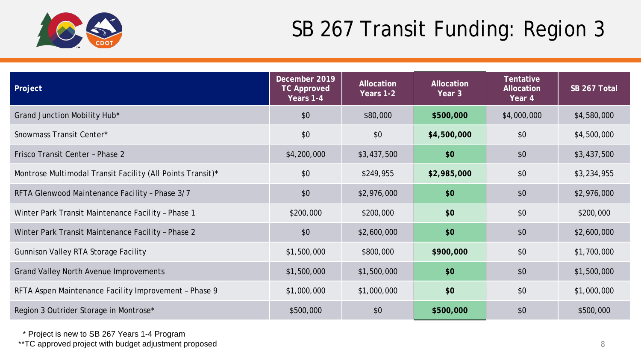

| Project                                                    | December 2019<br><b>TC Approved</b><br>Years 1-4 | Allocation<br>Years 1-2 | Allocation<br>Year 3 | Tentative<br>Allocation<br>Year 4 | SB 267 Total |
|------------------------------------------------------------|--------------------------------------------------|-------------------------|----------------------|-----------------------------------|--------------|
| Grand Junction Mobility Hub*                               | \$0                                              | \$80,000                | \$500,000            | \$4,000,000                       | \$4,580,000  |
| Snowmass Transit Center*                                   | \$0                                              | \$0                     | \$4,500,000          | \$0                               | \$4,500,000  |
| Frisco Transit Center - Phase 2                            | \$4,200,000                                      | \$3,437,500             | \$0                  | \$0                               | \$3,437,500  |
| Montrose Multimodal Transit Facility (All Points Transit)* | \$0                                              | \$249,955               | \$2,985,000          | \$0                               | \$3,234,955  |
| RFTA Glenwood Maintenance Facility - Phase 3/7             | \$0                                              | \$2,976,000             | \$0                  | \$0                               | \$2,976,000  |
| Winter Park Transit Maintenance Facility - Phase 1         | \$200,000                                        | \$200,000               | \$0                  | \$0                               | \$200,000    |
| Winter Park Transit Maintenance Facility - Phase 2         | \$0                                              | \$2,600,000             | \$0                  | \$0                               | \$2,600,000  |
| <b>Gunnison Valley RTA Storage Facility</b>                | \$1,500,000                                      | \$800,000               | \$900,000            | \$0                               | \$1,700,000  |
| <b>Grand Valley North Avenue Improvements</b>              | \$1,500,000                                      | \$1,500,000             | \$0                  | \$0                               | \$1,500,000  |
| RFTA Aspen Maintenance Facility Improvement - Phase 9      | \$1,000,000                                      | \$1,000,000             | \$0                  | \$0                               | \$1,000,000  |
| Region 3 Outrider Storage in Montrose*                     | \$500,000                                        | \$0                     | \$500,000            | \$0                               | \$500,000    |

\* Project is new to SB 267 Years 1-4 Program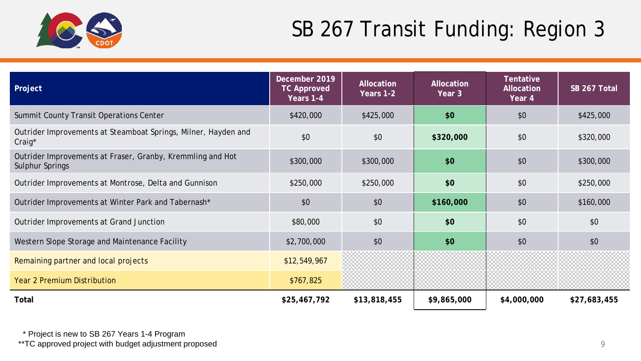

| Project                                                                       | December 2019<br><b>TC Approved</b><br>Years 1-4 | <b>Allocation</b><br>Years 1-2 | Allocation<br>Year 3 | Tentative<br>Allocation<br>Year 4 | SB 267 Total |
|-------------------------------------------------------------------------------|--------------------------------------------------|--------------------------------|----------------------|-----------------------------------|--------------|
| Summit County Transit Operations Center                                       | \$420,000                                        | \$425,000                      | \$0                  | \$0                               | \$425,000    |
| Outrider Improvements at Steamboat Springs, Milner, Hayden and<br>Craig*      | \$0                                              |                                | \$320,000            | \$0                               | \$320,000    |
| Outrider Improvements at Fraser, Granby, Kremmling and Hot<br>Sulphur Springs | \$300,000                                        | \$300,000                      | \$0                  | \$0                               | \$300,000    |
| Outrider Improvements at Montrose, Delta and Gunnison                         | \$250,000                                        | \$0<br>\$250,000               |                      | \$0                               | \$250,000    |
| Outrider Improvements at Winter Park and Tabernash*                           | \$0                                              | \$0                            | \$160,000            | \$0                               | \$160,000    |
| Outrider Improvements at Grand Junction                                       | \$80,000                                         | \$0                            | \$0                  | \$0                               | \$0          |
| Western Slope Storage and Maintenance Facility                                | \$2,700,000                                      | \$0                            | \$0                  | \$0                               | \$0          |
| Remaining partner and local projects                                          | \$12,549,967                                     |                                |                      |                                   |              |
| <b>Year 2 Premium Distribution</b>                                            | \$767,825                                        |                                |                      |                                   |              |
| Total                                                                         | \$25,467,792                                     | \$13,818,455                   | \$9,865,000          | \$4,000,000                       | \$27,683,455 |

\* Project is new to SB 267 Years 1-4 Program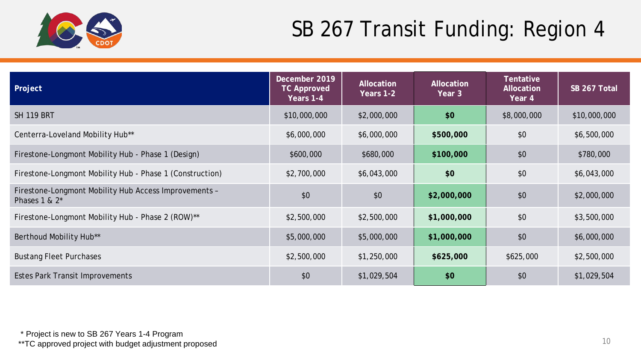

| Project                                                                   | December 2019<br><b>TC Approved</b><br>Years 1-4 | Allocation<br>Years 1-2 | Allocation<br>Year 3 | <b>Tentative</b><br><b>Allocation</b><br>Year 4 | SB 267 Total |
|---------------------------------------------------------------------------|--------------------------------------------------|-------------------------|----------------------|-------------------------------------------------|--------------|
| <b>SH 119 BRT</b>                                                         | \$10,000,000                                     | \$2,000,000             | \$0                  | \$8,000,000                                     | \$10,000,000 |
| Centerra-Loveland Mobility Hub**                                          | \$6,000,000                                      | \$6,000,000             | \$500,000            | \$0                                             | \$6,500,000  |
| Firestone-Longmont Mobility Hub - Phase 1 (Design)                        | \$600,000                                        | \$680,000               | \$100,000            | \$0                                             | \$780,000    |
| Firestone-Longmont Mobility Hub - Phase 1 (Construction)                  | \$2,700,000                                      | \$6,043,000             | \$0                  | \$0                                             | \$6,043,000  |
| Firestone-Longmont Mobility Hub Access Improvements -<br>Phases $1 & 2^*$ | \$0                                              | \$0                     | \$2,000,000          | \$0                                             | \$2,000,000  |
| Firestone-Longmont Mobility Hub - Phase 2 (ROW)**                         | \$2,500,000                                      | \$2,500,000             | \$1,000,000          | \$0                                             | \$3,500,000  |
| Berthoud Mobility Hub**                                                   | \$5,000,000                                      | \$5,000,000             | \$1,000,000          | \$0                                             | \$6,000,000  |
| <b>Bustang Fleet Purchases</b>                                            | \$2,500,000                                      | \$1,250,000             | \$625,000            | \$625,000                                       | \$2,500,000  |
| Estes Park Transit Improvements                                           | \$0                                              | \$1,029,504             | \$0                  | \$0                                             | \$1,029,504  |

\* Project is new to SB 267 Years 1-4 Program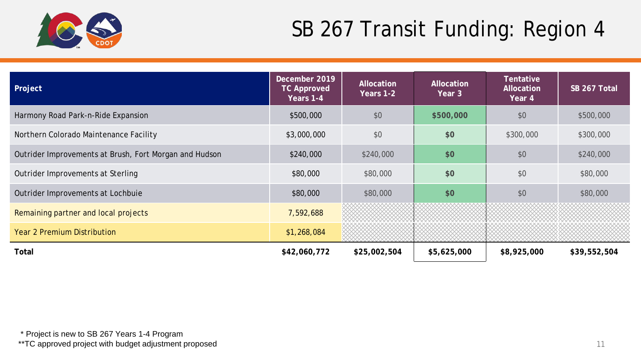

| Project                                                | December 2019<br><b>TC Approved</b><br>Years 1-4 | Allocation<br>Years 1-2 | Allocation<br>Year 3 | <b>Tentative</b><br><b>Allocation</b><br>Year 4 | SB 267 Total |
|--------------------------------------------------------|--------------------------------------------------|-------------------------|----------------------|-------------------------------------------------|--------------|
| Harmony Road Park-n-Ride Expansion                     | \$500,000                                        | \$0                     | \$500,000            | \$0                                             | \$500,000    |
| Northern Colorado Maintenance Facility                 | \$3,000,000                                      | \$0                     | \$0                  | \$300,000                                       | \$300,000    |
| Outrider Improvements at Brush, Fort Morgan and Hudson | \$240,000                                        | \$240,000               | \$0                  | \$0                                             | \$240,000    |
| Outrider Improvements at Sterling                      | \$80,000                                         | \$80,000                | \$0                  | \$0                                             | \$80,000     |
| Outrider Improvements at Lochbuie                      | \$80,000                                         | \$80,000                | \$0                  | \$0                                             | \$80,000     |
| Remaining partner and local projects                   | 7,592,688                                        |                         |                      |                                                 |              |
| <b>Year 2 Premium Distribution</b>                     | \$1,268,084                                      |                         |                      |                                                 |              |
| Total                                                  | \$42,060,772                                     | \$25,002,504            | \$5,625,000          | \$8,925,000                                     | \$39,552,504 |

\* Project is new to SB 267 Years 1-4 Program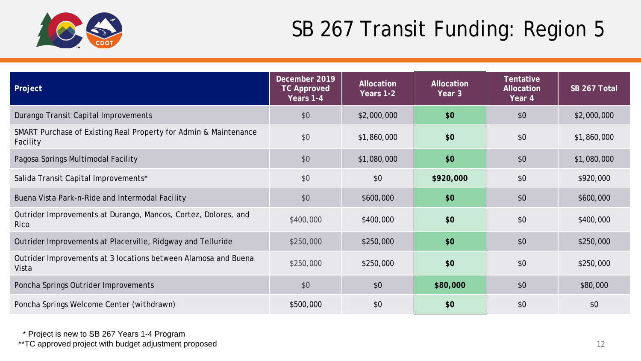

| Project                                                                      | December 2019<br><b>TC Approved</b><br>Years 1-4 | Allocation<br>Years 1-2 | <b>Allocation</b><br>Year 3 | Tentative<br>Allocation<br>Year 4 | SB 267 Total |
|------------------------------------------------------------------------------|--------------------------------------------------|-------------------------|-----------------------------|-----------------------------------|--------------|
| Durango Transit Capital Improvements                                         | \$0                                              | \$2,000,000             | \$0                         | \$0                               | \$2,000,000  |
| SMART Purchase of Existing Real Property for Admin & Maintenance<br>Facility | \$0                                              | \$1,860,000             | \$0                         | \$0                               | \$1,860,000  |
| Pagosa Springs Multimodal Facility                                           | \$0                                              | \$1,080,000             | \$0                         | \$0                               | \$1,080,000  |
| Salida Transit Capital Improvements*                                         | \$0                                              | \$0<br>\$920,000        |                             | \$0                               | \$920,000    |
| Buena Vista Park-n-Ride and Intermodal Facility                              | \$0                                              | \$600,000               | \$0                         | \$0                               | \$600,000    |
| Outrider Improvements at Durango, Mancos, Cortez, Dolores, and<br>Rico       | \$400,000                                        | \$400,000               | \$0                         | \$0                               | \$400,000    |
| Outrider Improvements at Placerville, Ridgway and Telluride                  | \$250,000                                        | \$250,000               | \$0                         | \$0                               | \$250,000    |
| Outrider Improvements at 3 locations between Alamosa and Buena<br>Vista      | \$250,000                                        | \$250,000               | \$0                         | \$0                               | \$250,000    |
| Poncha Springs Outrider Improvements                                         | \$0                                              | \$0                     | \$80,000                    | \$0                               | \$80,000     |
| Poncha Springs Welcome Center (withdrawn)                                    | \$500,000                                        | \$0                     | \$0                         | \$0                               | \$0          |

\* Project is new to SB 267 Years 1-4 Program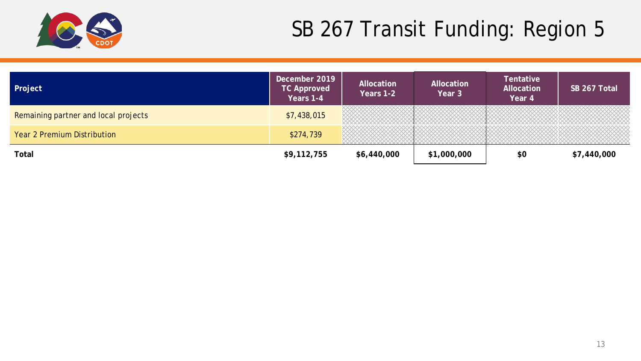

| <b>Project</b>                       | December 2019<br><b>TC Approved</b><br>Years 1-4 | Allocation<br>Years 1-2 | Allocation<br>Year 3 | Tentative<br>Allocation<br>Year 4 | SB 267 Total |
|--------------------------------------|--------------------------------------------------|-------------------------|----------------------|-----------------------------------|--------------|
| Remaining partner and local projects | \$7,438,015                                      |                         |                      |                                   |              |
| Year 2 Premium Distribution          | \$274,739                                        |                         |                      |                                   |              |
| Total                                | \$9,112,755                                      | \$6,440,000             | \$1,000,000          | \$0                               | \$7,440,000  |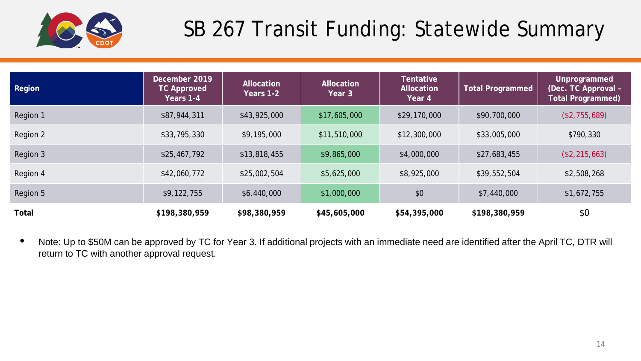

# SB 267 Transit Funding: Statewide Summary

| Region   | December 2019<br><b>TC Approved</b><br>Years 1-4 | Allocation<br>Years 1-2 | Allocation<br>Year 3 | <b>Tentative</b><br>Allocation<br>Year 4 | <b>Total Programmed</b> | Unprogrammed<br>(Dec. TC Approval -<br><b>Total Programmed)</b> |
|----------|--------------------------------------------------|-------------------------|----------------------|------------------------------------------|-------------------------|-----------------------------------------------------------------|
| Region 1 | \$87,944,311                                     | \$43,925,000            | \$17,605,000         | \$29,170,000                             | \$90,700,000            | (\$2,755,689)                                                   |
| Region 2 | \$33,795,330                                     | \$9,195,000             | \$11,510,000         | \$12,300,000                             | \$33,005,000            | \$790,330                                                       |
| Region 3 | \$25,467,792                                     | \$13,818,455            | \$9,865,000          | \$4,000,000                              | \$27,683,455            | (\$2, 215, 663)                                                 |
| Region 4 | \$42,060,772                                     | \$25,002,504            | \$5,625,000          | \$8,925,000                              | \$39,552,504            | \$2,508,268                                                     |
| Region 5 | \$9,122,755                                      | \$6,440,000             | \$1,000,000          | \$0                                      | \$7,440,000             | \$1,672,755                                                     |
| Total    | \$198,380,959                                    | \$98,380,959            | \$45,605,000         | \$54,395,000                             | \$198,380,959           | \$0                                                             |

• Note: Up to \$50M can be approved by TC for Year 3. If additional projects with an immediate need are identified after the April TC, DTR will return to TC with another approval request.